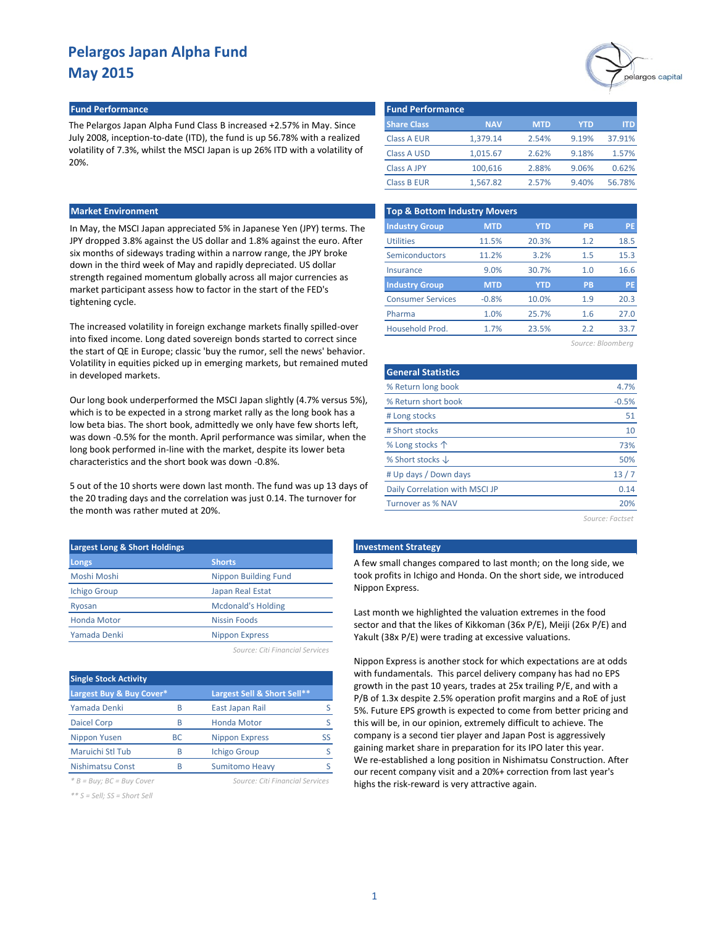#### **Fund Performance Fund Performance**

The Pelargos Japan Alpha Fund Class B increased +2.57% in May. Since July 2008, inception-to-date (ITD), the fund is up 56.78% with a realized volatility of 7.3%, whilst the MSCI Japan is up 26% ITD with a volatility of 20%.

#### **Market Environment**

In May, the MSCI Japan appreciated 5% in Japanese Yen (JPY) terms. The JPY dropped 3.8% against the US dollar and 1.8% against the euro. After six months of sideways trading within a narrow range, the JPY broke down in the third week of May and rapidly depreciated. US dollar strength regained momentum globally across all major currencies as market participant assess how to factor in the start of the FED's tightening cycle.

The increased volatility in foreign exchange markets finally spilled-over into fixed income. Long dated sovereign bonds started to correct since the start of QE in Europe; classic 'buy the rumor, sell the news' behavior. Volatility in equities picked up in emerging markets, but remained muted in developed markets.

Our long book underperformed the MSCI Japan slightly (4.7% versus 5%), which is to be expected in a strong market rally as the long book has a low beta bias. The short book, admittedly we only have few shorts left, was down -0.5% for the month. April performance was similar, when the long book performed in-line with the market, despite its lower beta characteristics and the short book was down -0.8%.

5 out of the 10 shorts were down last month. The fund was up 13 days of the 20 trading days and the correlation was just 0.14. The turnover for the month was rather muted at 20%.

| <b>Largest Long &amp; Short Holdings</b> |                             |
|------------------------------------------|-----------------------------|
| Longs                                    | <b>Shorts</b>               |
| Moshi Moshi                              | <b>Nippon Building Fund</b> |
| <b>Ichigo Group</b>                      | Japan Real Estat            |
| Ryosan                                   | <b>Mcdonald's Holding</b>   |
| <b>Honda Motor</b>                       | <b>Nissin Foods</b>         |
| Yamada Denki                             | <b>Nippon Express</b>       |
|                                          |                             |

*Source: Citi Financial Services*

| <b>Single Stock Activity</b> |           |                                 |    |
|------------------------------|-----------|---------------------------------|----|
| Largest Buy & Buy Cover*     |           | Largest Sell & Short Sell**     |    |
| Yamada Denki                 | R         | East Japan Rail                 |    |
| <b>Daicel Corp</b>           | B         | <b>Honda Motor</b>              |    |
| Nippon Yusen                 | <b>BC</b> | <b>Nippon Express</b>           | SS |
| Maruichi Stl Tub             | R         | <b>Ichigo Group</b>             |    |
| <b>Nishimatsu Const</b>      | R         | <b>Sumitomo Heavy</b>           |    |
| $B = Buy$ ; $BC = Buy$ Cover |           | Source: Citi Financial Services |    |

*\*\* S = Sell; SS = Short Sell*



| <b>Fund Performance</b> |            |            |       |        |
|-------------------------|------------|------------|-------|--------|
| <b>Share Class</b>      | <b>NAV</b> | <b>MTD</b> | YTD   | ITD    |
| <b>Class A EUR</b>      | 1.379.14   | 2.54%      | 9.19% | 37.91% |
| <b>Class A USD</b>      | 1.015.67   | 2.62%      | 9.18% | 1.57%  |
| <b>Class A JPY</b>      | 100,616    | 2.88%      | 9.06% | 0.62%  |
| <b>Class B EUR</b>      | 1,567.82   | 2.57%      | 9.40% | 56.78% |

| <b>Top &amp; Bottom Industry Movers</b> |            |            |           |           |  |  |  |  |  |
|-----------------------------------------|------------|------------|-----------|-----------|--|--|--|--|--|
| <b>Industry Group</b>                   | <b>MTD</b> | <b>YTD</b> | <b>PB</b> | PE        |  |  |  |  |  |
| <b>Utilities</b>                        | 11.5%      | 20.3%      | 1.2       | 18.5      |  |  |  |  |  |
| Semiconductors                          | 11.2%      | 3.2%       | 1.5       | 15.3      |  |  |  |  |  |
| Insurance                               | 9.0%       | 30.7%      | 1.0       | 16.6      |  |  |  |  |  |
| <b>Industry Group</b>                   | <b>MTD</b> | <b>YTD</b> | <b>PB</b> | <b>PE</b> |  |  |  |  |  |
| <b>Consumer Services</b>                | $-0.8%$    | 10.0%      | 1.9       | 20.3      |  |  |  |  |  |
| Pharma                                  | 1.0%       | 25.7%      | 1.6       | 27.0      |  |  |  |  |  |
| Household Prod.                         | 1.7%       | 23.5%      | 2.2       | 33.7      |  |  |  |  |  |

*Source: Bloomberg*

| <b>General Statistics</b>      |                 |
|--------------------------------|-----------------|
| % Return long book             | 4.7%            |
| % Return short book            | $-0.5%$         |
| # Long stocks                  | 51              |
| # Short stocks                 | 10              |
| % Long stocks 个                | 73%             |
| % Short stocks $\downarrow$    | 50%             |
| # Up days / Down days          | 13/7            |
| Daily Correlation with MSCI JP | 0.14            |
| <b>Turnover as % NAV</b>       | 20%             |
|                                | Source: Eactset |

**Langest Montest Long External Strategy** 

A few small changes compared to last month; on the long side, we took profits in Ichigo and Honda. On the short side, we introduced Nippon Express.

Last month we highlighted the valuation extremes in the food sector and that the likes of Kikkoman (36x P/E), Meiji (26x P/E) and Yakult (38x P/E) were trading at excessive valuations.

Nippon Express is another stock for which expectations are at odds with fundamentals. This parcel delivery company has had no EPS growth in the past 10 years, trades at 25x trailing P/E, and with a P/B of 1.3x despite 2.5% operation profit margins and a RoE of just 5%. Future EPS growth is expected to come from better pricing and this will be, in our opinion, extremely difficult to achieve. The company is a second tier player and Japan Post is aggressively gaining market share in preparation for its IPO later this year. We re-established a long position in Nishimatsu Construction. After our recent company visit and a 20%+ correction from last year's highs the risk-reward is very attractive again.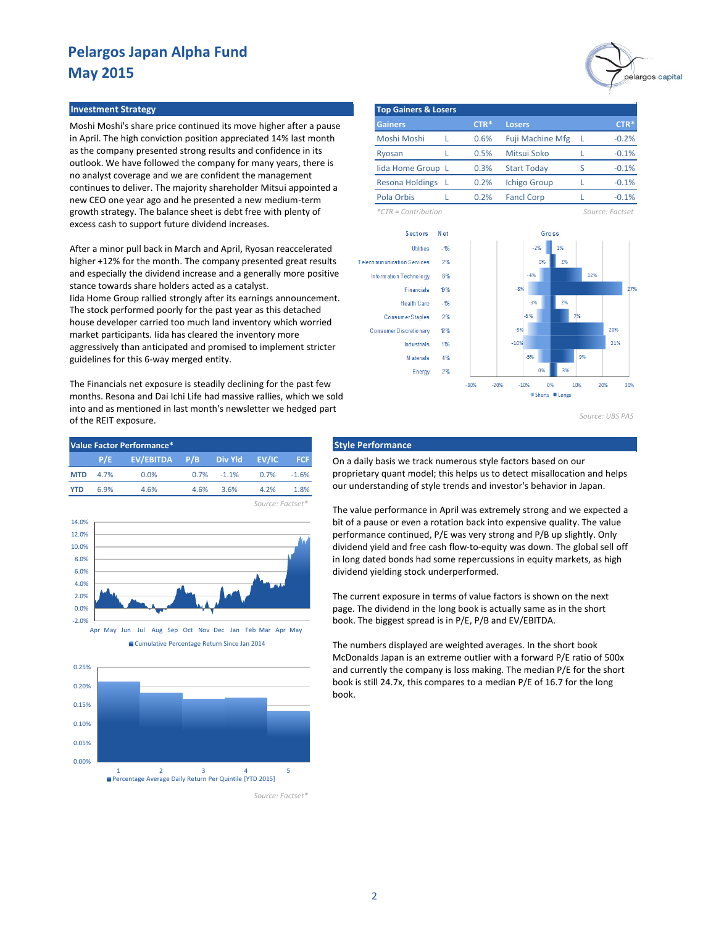Moshi Moshi's share price continued its move higher after a pause in April. The high conviction position appreciated 14% last month as the company presented strong results and confidence in its outlook. We have followed the company for many years, there is no analyst coverage and we are confident the management continues to deliver. The majority shareholder Mitsui appointed a new CEO one year ago and he presented a new medium-term growth strategy. The balance sheet is debt free with plenty of excess cash to support future dividend increases.

After a minor pull back in March and April, Ryosan reaccelerated higher +12% for the month. The company presented great results and especially the dividend increase and a generally more positive stance towards share holders acted as a catalyst. Iida Home Group rallied strongly after its earnings announcement. The stock performed poorly for the past year as this detached house developer carried too much land inventory which worried market participants. Iida has cleared the inventory more aggressively than anticipated and promised to implement stricter guidelines for this 6-way merged entity.

The Financials net exposure is steadily declining for the past few months. Resona and Dai Ichi Life had massive rallies, which we sold into and as mentioned in last month's newsletter we hedged part of the REIT exposure.

| Value Factor Performance* |      |                             |      |                |                  |            |  |  |  |
|---------------------------|------|-----------------------------|------|----------------|------------------|------------|--|--|--|
|                           | P/E  | EV/EBITDA P/B Div Yld EV/IC |      |                |                  | <b>FCF</b> |  |  |  |
| <b>MTD</b>                | 4.7% | 0.0%                        |      | $0.7\% -1.1\%$ | $0.7\%$          | $-1.6%$    |  |  |  |
| <b>YTD</b>                | 6.9% | 4.6%                        | 4.6% | 3.6%           | $4.2\%$          | 1.8%       |  |  |  |
|                           |      |                             |      |                | Source: Factset* |            |  |  |  |







*Source: Factset\**



*Source: UBS PAS*

### **Style Performance**

On a daily basis we track numerous style factors based on our proprietary quant model; this helps us to detect misallocation and helps our understanding of style trends and investor's behavior in Japan.

The value performance in April was extremely strong and we expected a bit of a pause or even a rotation back into expensive quality. The value performance continued, P/E was very strong and P/B up slightly. Only dividend yield and free cash flow-to-equity was down. The global sell off in long dated bonds had some repercussions in equity markets, as high dividend yielding stock underperformed.

The current exposure in terms of value factors is shown on the next page. The dividend in the long book is actually same as in the short book. The biggest spread is in P/E, P/B and EV/EBITDA.

The numbers displayed are weighted averages. In the short book McDonalds Japan is an extreme outlier with a forward P/E ratio of 500x and currently the company is loss making. The median P/E for the short book is still 24.7x, this compares to a median P/E of 16.7 for the long book.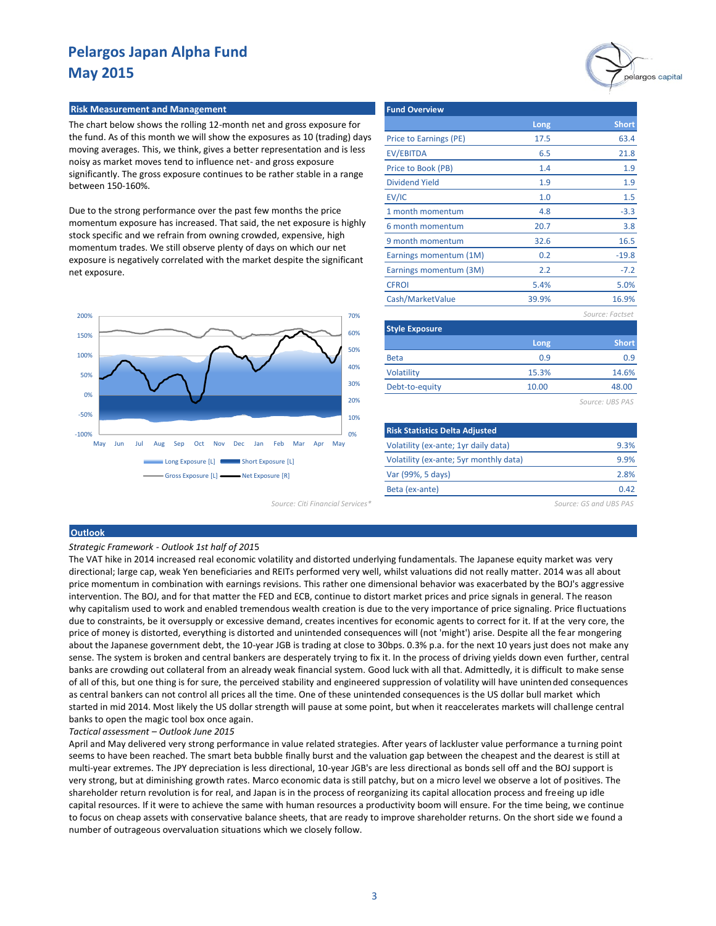# pelargos capital

#### **Risk Measurement and Management**

The chart below shows the rolling 12-month net and gross exposure for the fund. As of this month we will show the exposures as 10 (trading) days moving averages. This, we think, gives a better representation and is less noisy as market moves tend to influence net- and gross exposure significantly. The gross exposure continues to be rather stable in a range between 150-160%.

Due to the strong performance over the past few months the price momentum exposure has increased. That said, the net exposure is highly stock specific and we refrain from owning crowded, expensive, high momentum trades. We still observe plenty of days on which our net exposure is negatively correlated with the market despite the significant net exposure.



*Source: Citi Financial Services\* Source: GS and UBS PAS*

| <b>Fund Overview</b>   |       |                 |
|------------------------|-------|-----------------|
|                        | Long  | <b>Short</b>    |
| Price to Earnings (PE) | 17.5  | 63.4            |
| EV/EBITDA              | 6.5   | 21.8            |
| Price to Book (PB)     | 1.4   | 1.9             |
| <b>Dividend Yield</b>  | 1.9   | 1.9             |
| EV/IC                  | 1.0   | 1.5             |
| 1 month momentum       | 4.8   | $-3.3$          |
| 6 month momentum       | 20.7  | 3.8             |
| 9 month momentum       | 32.6  | 16.5            |
| Earnings momentum (1M) | 0.2   | $-19.8$         |
| Earnings momentum (3M) | 2.2   | $-7.2$          |
| <b>CFROI</b>           | 5.4%  | 5.0%            |
| Cash/MarketValue       | 39.9% | 16.9%           |
|                        |       | Source: Factset |

| <b>Style Exposure</b> |       |              |  |  |  |  |
|-----------------------|-------|--------------|--|--|--|--|
|                       | Long  | <b>Short</b> |  |  |  |  |
| <b>Beta</b>           | 0.9   | 0.9          |  |  |  |  |
| Volatility            | 15.3% | 14.6%        |  |  |  |  |
| Debt-to-equity        | 10.00 | 48.00        |  |  |  |  |
|                       |       |              |  |  |  |  |

*Source: UBS PAS*

| <b>Risk Statistics Delta Adjusted</b>  |      |
|----------------------------------------|------|
| Volatility (ex-ante; 1yr daily data)   | 9.3% |
| Volatility (ex-ante; 5yr monthly data) | 9.9% |
| Var (99%, 5 days)                      | 2.8% |
| Beta (ex-ante)                         | 0.42 |

#### **Outlook**

#### *Strategic Framework - Outlook 1st half of 201*5

The VAT hike in 2014 increased real economic volatility and distorted underlying fundamentals. The Japanese equity market was very directional; large cap, weak Yen beneficiaries and REITs performed very well, whilst valuations did not really matter. 2014 was all about price momentum in combination with earnings revisions. This rather one dimensional behavior was exacerbated by the BOJ's aggressive intervention. The BOJ, and for that matter the FED and ECB, continue to distort market prices and price signals in general. The reason why capitalism used to work and enabled tremendous wealth creation is due to the very importance of price signaling. Price fluctuations due to constraints, be it oversupply or excessive demand, creates incentives for economic agents to correct for it. If at the very core, the price of money is distorted, everything is distorted and unintended consequences will (not 'might') arise. Despite all the fear mongering about the Japanese government debt, the 10-year JGB is trading at close to 30bps. 0.3% p.a. for the next 10 years just does not make any sense. The system is broken and central bankers are desperately trying to fix it. In the process of driving yields down even further, central banks are crowding out collateral from an already weak financial system. Good luck with all that. Admittedly, it is difficult to make sense of all of this, but one thing is for sure, the perceived stability and engineered suppression of volatility will have unintended consequences as central bankers can not control all prices all the time. One of these unintended consequences is the US dollar bull market which started in mid 2014. Most likely the US dollar strength will pause at some point, but when it reaccelerates markets will challenge central banks to open the magic tool box once again.

*Tactical assessment – Outlook June 2015*

April and May delivered very strong performance in value related strategies. After years of lackluster value performance a turning point seems to have been reached. The smart beta bubble finally burst and the valuation gap between the cheapest and the dearest is still at multi-year extremes. The JPY depreciation is less directional, 10-year JGB's are less directional as bonds sell off and the BOJ support is very strong, but at diminishing growth rates. Marco economic data is still patchy, but on a micro level we observe a lot of positives. The shareholder return revolution is for real, and Japan is in the process of reorganizing its capital allocation process and freeing up idle capital resources. If it were to achieve the same with human resources a productivity boom will ensure. For the time being, we continue to focus on cheap assets with conservative balance sheets, that are ready to improve shareholder returns. On the short side we found a number of outrageous overvaluation situations which we closely follow.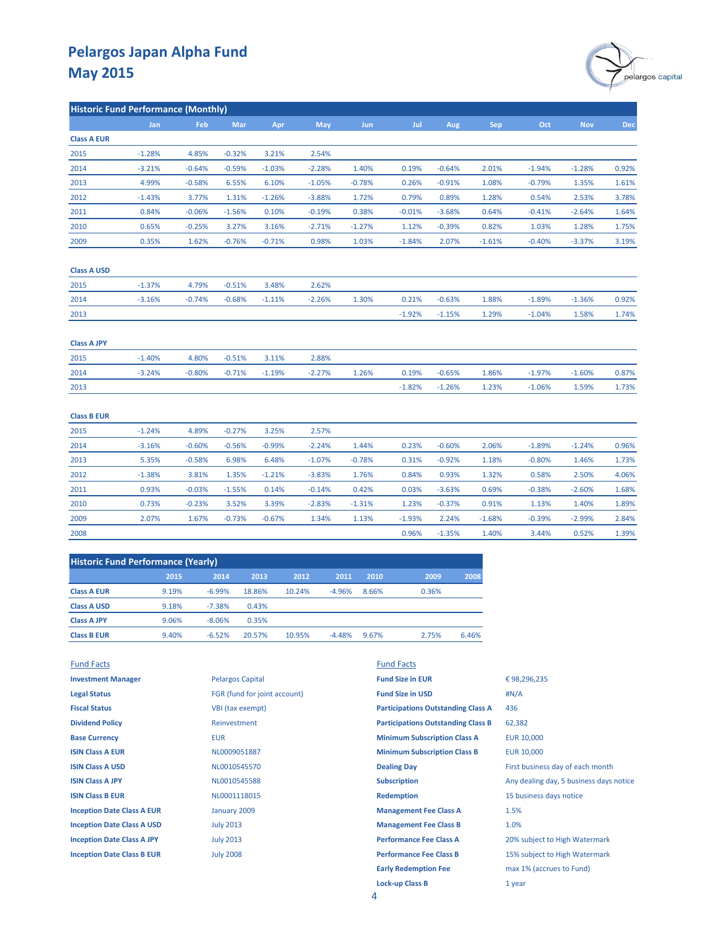

|                    | <b>Historic Fund Performance (Monthly)</b> |          |            |          |          |            |          |          |            |          |            |            |
|--------------------|--------------------------------------------|----------|------------|----------|----------|------------|----------|----------|------------|----------|------------|------------|
|                    | Jan                                        | Feb      | <b>Mar</b> | Apr      | May      | <b>Jun</b> | Jul      | Aug      | <b>Sep</b> | Oct      | <b>Nov</b> | <b>Dec</b> |
| <b>Class A EUR</b> |                                            |          |            |          |          |            |          |          |            |          |            |            |
| 2015               | $-1.28%$                                   | 4.85%    | $-0.32%$   | 3.21%    | 2.54%    |            |          |          |            |          |            |            |
| 2014               | $-3.21%$                                   | $-0.64%$ | $-0.59%$   | $-1.03%$ | $-2.28%$ | 1.40%      | 0.19%    | $-0.64%$ | 2.01%      | $-1.94%$ | $-1.28%$   | 0.92%      |
| 2013               | 4.99%                                      | $-0.58%$ | 6.55%      | 6.10%    | $-1.05%$ | $-0.78%$   | 0.26%    | $-0.91%$ | 1.08%      | $-0.79%$ | 1.35%      | 1.61%      |
| 2012               | $-1.43%$                                   | 3.77%    | 1.31%      | $-1.26%$ | $-3.88%$ | 1.72%      | 0.79%    | 0.89%    | 1.28%      | 0.54%    | 2.53%      | 3.78%      |
| 2011               | 0.84%                                      | $-0.06%$ | $-1.56%$   | 0.10%    | $-0.19%$ | 0.38%      | $-0.01%$ | $-3.68%$ | 0.64%      | $-0.41%$ | $-2.64%$   | 1.64%      |
| 2010               | 0.65%                                      | $-0.25%$ | 3.27%      | 3.16%    | $-2.71%$ | $-1.27%$   | 1.12%    | $-0.39%$ | 0.82%      | 1.03%    | 1.28%      | 1.75%      |
| 2009               | 0.35%                                      | 1.62%    | $-0.76%$   | $-0.71%$ | 0.98%    | 1.03%      | $-1.84%$ | 2.07%    | $-1.61%$   | $-0.40%$ | $-3.37%$   | 3.19%      |
| <b>Class A USD</b> |                                            |          |            |          |          |            |          |          |            |          |            |            |
| 2015               | $-1.37%$                                   | 4.79%    | $-0.51%$   | 3.48%    | 2.62%    |            |          |          |            |          |            |            |
| 2014               | $-3.16%$                                   | $-0.74%$ | $-0.68%$   | $-1.11%$ | $-2.26%$ | 1.30%      | 0.21%    | $-0.63%$ | 1.88%      | $-1.89%$ | $-1.36%$   | 0.92%      |
| 2013               |                                            |          |            |          |          |            | $-1.92%$ | $-1.15%$ | 1.29%      | $-1.04%$ | 1.58%      | 1.74%      |
| <b>Class A JPY</b> |                                            |          |            |          |          |            |          |          |            |          |            |            |
| 2015               | $-1.40%$                                   | 4.80%    | $-0.51%$   | 3.11%    | 2.88%    |            |          |          |            |          |            |            |
| 2014               | $-3.24%$                                   | $-0.80%$ | $-0.71%$   | $-1.19%$ | $-2.27%$ | 1.26%      | 0.19%    | $-0.65%$ | 1.86%      | $-1.97%$ | $-1.60%$   | 0.87%      |
| 2013               |                                            |          |            |          |          |            | $-1.82%$ | $-1.26%$ | 1.23%      | $-1.06%$ | 1.59%      | 1.73%      |
| <b>Class B EUR</b> |                                            |          |            |          |          |            |          |          |            |          |            |            |
| 2015               | $-1.24%$                                   | 4.89%    | $-0.27%$   | 3.25%    | 2.57%    |            |          |          |            |          |            |            |
| 2014               | $-3.16%$                                   | $-0.60%$ | $-0.56%$   | $-0.99%$ | $-2.24%$ | 1.44%      | 0.23%    | $-0.60%$ | 2.06%      | $-1.89%$ | $-1.24%$   | 0.96%      |
| 2013               | 5.35%                                      | $-0.58%$ | 6.98%      | 6.48%    | $-1.07%$ | $-0.78%$   | 0.31%    | $-0.92%$ | 1.18%      | $-0.80%$ | 1.46%      | 1.73%      |
| 2012               | $-1.38%$                                   | 3.81%    | 1.35%      | $-1.21%$ | $-3.83%$ | 1.76%      | 0.84%    | 0.93%    | 1.32%      | 0.58%    | 2.50%      | 4.06%      |
| 2011               | 0.93%                                      | $-0.03%$ | $-1.55%$   | 0.14%    | $-0.14%$ | 0.42%      | 0.03%    | $-3.63%$ | 0.69%      | $-0.38%$ | $-2.60%$   | 1.68%      |
| 2010               | 0.73%                                      | $-0.23%$ | 3.52%      | 3.39%    | $-2.83%$ | $-1.31%$   | 1.23%    | $-0.37%$ | 0.91%      | 1.13%    | 1.40%      | 1.89%      |
| 2009               | 2.07%                                      | 1.67%    | $-0.73%$   | $-0.67%$ | 1.34%    | 1.13%      | $-1.93%$ | 2.24%    | $-1.68%$   | $-0.39%$ | $-2.99%$   | 2.84%      |
| 2008               |                                            |          |            |          |          |            | 0.96%    | $-1.35%$ | 1.40%      | 3.44%    | 0.52%      | 1.39%      |

| <b>Historic Fund Performance (Yearly)</b> |       |          |        |        |          |       |       |       |
|-------------------------------------------|-------|----------|--------|--------|----------|-------|-------|-------|
|                                           | 2015  | 2014     | 2013   | 2012   | 2011     | 2010  | 2009  | 2008  |
| <b>Class A EUR</b>                        | 9.19% | $-6.99%$ | 18.86% | 10.24% | $-4.96%$ | 8.66% | 0.36% |       |
| <b>Class A USD</b>                        | 9.18% | $-7.38%$ | 0.43%  |        |          |       |       |       |
| <b>Class A JPY</b>                        | 9.06% | $-8.06%$ | 0.35%  |        |          |       |       |       |
| <b>Class B EUR</b>                        | 9.40% | $-6.52%$ | 20.57% | 10.95% | $-4.48%$ | 9.67% | 2.75% | 6.46% |
|                                           |       |          |        |        |          |       |       |       |

| <b>Fund Facts</b>                 |                              | <b>Fund Facts</b>                         |                                         |
|-----------------------------------|------------------------------|-------------------------------------------|-----------------------------------------|
| <b>Investment Manager</b>         | <b>Pelargos Capital</b>      | <b>Fund Size in EUR</b>                   | €98,296,235                             |
| <b>Legal Status</b>               | FGR (fund for joint account) | <b>Fund Size in USD</b>                   | H N/A                                   |
| <b>Fiscal Status</b>              | VBI (tax exempt)             | <b>Participations Outstanding Class A</b> | 436                                     |
| <b>Dividend Policy</b>            | Reinvestment                 | <b>Participations Outstanding Class B</b> | 62,382                                  |
| <b>Base Currency</b>              | <b>EUR</b>                   | <b>Minimum Subscription Class A</b>       | <b>EUR 10,000</b>                       |
| <b>ISIN Class A EUR</b>           | NL0009051887                 | <b>Minimum Subscription Class B</b>       | <b>EUR 10,000</b>                       |
| <b>ISIN Class A USD</b>           | NL0010545570                 | <b>Dealing Day</b>                        | First business day of each month        |
| <b>ISIN Class A JPY</b>           | NL0010545588                 | <b>Subscription</b>                       | Any dealing day, 5 business days notice |
| <b>ISIN Class B EUR</b>           | NL0001118015                 | <b>Redemption</b>                         | 15 business days notice                 |
| <b>Inception Date Class A EUR</b> | January 2009                 | <b>Management Fee Class A</b>             | 1.5%                                    |
| <b>Inception Date Class A USD</b> | <b>July 2013</b>             | <b>Management Fee Class B</b>             | 1.0%                                    |
| <b>Inception Date Class A JPY</b> | <b>July 2013</b>             | <b>Performance Fee Class A</b>            | 20% subject to High Watermark           |
| <b>Inception Date Class B EUR</b> | <b>July 2008</b>             | <b>Performance Fee Class B</b>            | 15% subject to High Watermark           |
|                                   |                              | <b>Early Redemption Fee</b>               | max 1% (accrues to Fund)                |
|                                   |                              | <b>Lock-up Class B</b>                    | 1 year                                  |